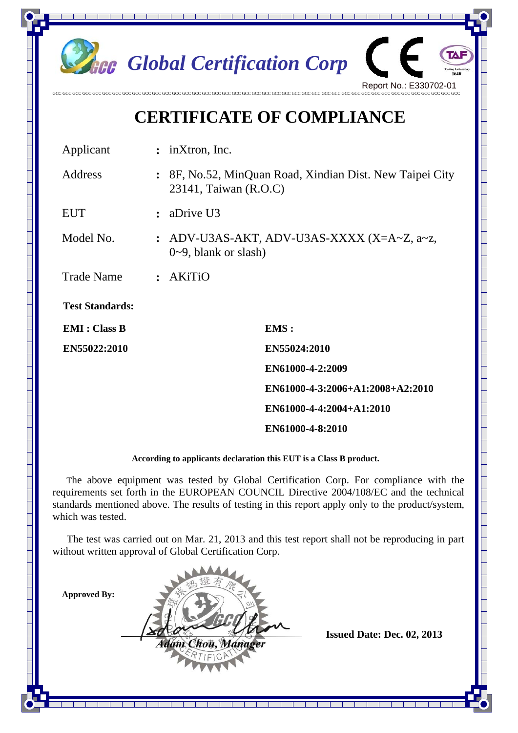

## **According to applicants declaration this EUT is a Class B product.**

 The above equipment was tested by Global Certification Corp. For compliance with the requirements set forth in the EUROPEAN COUNCIL Directive 2004/108/EC and the technical standards mentioned above. The results of testing in this report apply only to the product/system, which was tested.

The test was carried out on Mar. 21, 2013 and this test report shall not be reproducing in part without written approval of Global Certification Corp.

**Approved By:** 

am Chou, Mani

 **Issued Date: Dec. 02, 2013**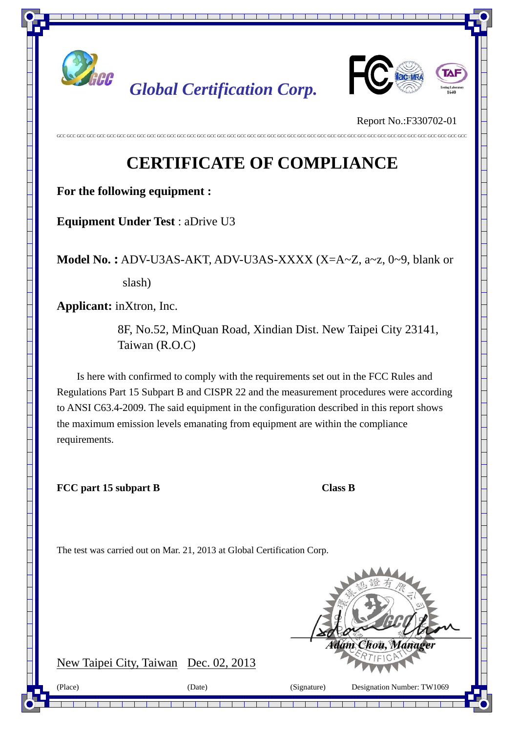





## Report No.:F330702-01

## **CERTIFICATE OF COMPLIANCE**

GCC GCC GCC GCC GCC GCC GCC GCC GCC GCC GCC GCC GCC GCC GCC GCC GCC GCC GCC GCC GCC GCC GCC GCC GCC GCC GCC GCC GCC GCC GCC GCC GCC GCC GCC GCC GCC GCC GCC GCC GCC

**For the following equipment :** 

**Equipment Under Test** : aDrive U3

**Model No. :** ADV-U3AS-AKT, ADV-U3AS-XXXX (X=A~Z, a~z, 0~9, blank or

slash)

**Applicant:** inXtron, Inc.

8F, No.52, MinQuan Road, Xindian Dist. New Taipei City 23141, Taiwan (R.O.C)

Is here with confirmed to comply with the requirements set out in the FCC Rules and Regulations Part 15 Subpart B and CISPR 22 and the measurement procedures were according to ANSI C63.4-2009. The said equipment in the configuration described in this report shows the maximum emission levels emanating from equipment are within the compliance requirements.

**FCC part 15 subpart B Class B** 

The test was carried out on Mar. 21, 2013 at Global Certification Corp.



Adam Chou, Manager

(Place) (Date) (Signature) Designation Number: TW1069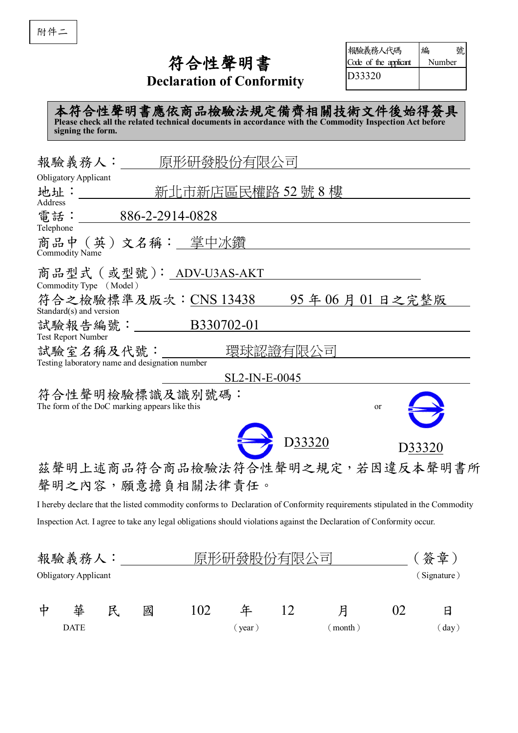|           | 報驗義務人代碼               | 編      |
|-----------|-----------------------|--------|
| 符合性聲明書    | Code of the applicant | Number |
| $\lambda$ | D33320                |        |

編 號

**Declaration of Conformity**

附件二

本符合性聲明書應依商品檢驗法規定備齊相關技術文件後始得簽具 **Please check all the related technical documents in accordance with the Commodity Inspection Act before signing the form.**

| 報驗義務人:<br>原形研發股份有限公司                                                                                                      |  |
|---------------------------------------------------------------------------------------------------------------------------|--|
| <b>Obligatory Applicant</b>                                                                                               |  |
| 新北市新店區民權路 52 號 8 樓<br>地址:                                                                                                 |  |
| Address                                                                                                                   |  |
| 電話:<br>886-2-2914-0828<br>Telephone                                                                                       |  |
| 商品中(英)文名稱: 堂中冰鑽<br>Commodity Name                                                                                         |  |
| 商品型式(或型號): ADV-U3AS-AKT                                                                                                   |  |
| Commodity Type (Model)                                                                                                    |  |
| 符合之檢驗標準及版次: CNS 13438 95 年 06 月 01 日之完整版<br>Standard(s) and version                                                       |  |
| 試驗報告編號: B330702-01<br><b>Test Report Number</b>                                                                           |  |
| 試驗室名稱及代號:<br>環球認證有限公司                                                                                                     |  |
| Testing laboratory name and designation number                                                                            |  |
| $SL2$ -IN-E-0045                                                                                                          |  |
| 符合性聲明檢驗標識及識別號碼:                                                                                                           |  |
| The form of the DoC marking appears like this<br><sub>or</sub>                                                            |  |
|                                                                                                                           |  |
| D33320<br>D33320                                                                                                          |  |
| 茲聲明上述商品符合商品檢驗法符合性聲明之規定,若因違反本聲明書所                                                                                          |  |
| 聲明之內容,願意擔負相關法律責任。                                                                                                         |  |
| I hereby declare that the listed commodity conforms to Declaration of Conformity requirements stipulated in the Commodity |  |
| Inspection Act. I agree to take any legal obligations should violations against the Declaration of Conformity occur.      |  |
|                                                                                                                           |  |
| 報驗義務人:<br>原形研發股份有限公司<br>(簽章)                                                                                              |  |
|                                                                                                                           |  |
| (Signature)<br><b>Obligatory Applicant</b>                                                                                |  |
| 102<br>華<br>12<br>月<br>02<br>國<br>中<br>民<br>年<br>日                                                                        |  |

DATE (year) (month) (day)